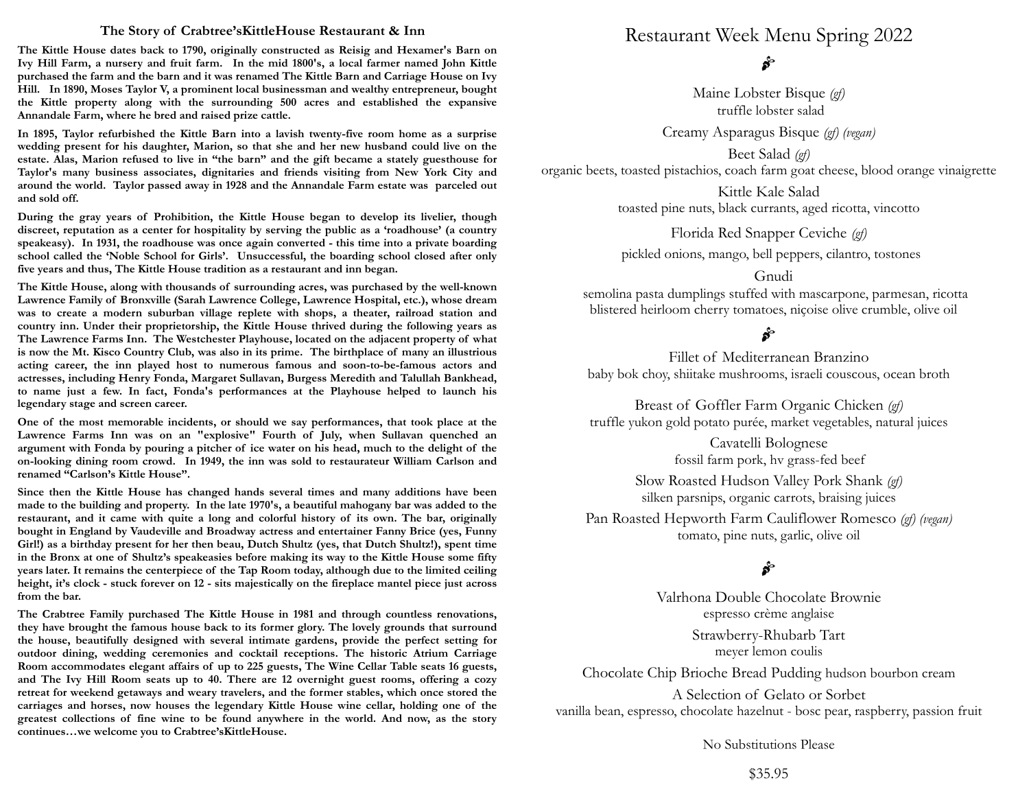## **The Story of Crabtree'sKittleHouse Restaurant & Inn**

**The Kittle House dates back to 1790, originally constructed as Reisig and Hexamer's Barn on Ivy Hill Farm, a nursery and fruit farm. In the mid 1800's, a local farmer named John Kittle purchased the farm and the barn and it was renamed The Kittle Barn and Carriage House on Ivy Hill. In 1890, Moses Taylor V, a prominent local businessman and wealthy entrepreneur, bought the Kittle property along with the surrounding 500 acres and established the expansive Annandale Farm, where he bred and raised prize cattle.**

**In 1895, Taylor refurbished the Kittle Barn into a lavish twenty-five room home as a surprise wedding present for his daughter, Marion, so that she and her new husband could live on the estate. Alas, Marion refused to live in "the barn" and the gift became a stately guesthouse for Taylor's many business associates, dignitaries and friends visiting from New York City and around the world. Taylor passed away in 1928 and the Annandale Farm estate was parceled out and sold off.** 

**During the gray years of Prohibition, the Kittle House began to develop its livelier, though discreet, reputation as a center for hospitality by serving the public as a 'roadhouse' (a country speakeasy). In 1931, the roadhouse was once again converted - this time into a private boarding school called the 'Noble School for Girls'. Unsuccessful, the boarding school closed after only five years and thus, The Kittle House tradition as a restaurant and inn began.**

**The Kittle House, along with thousands of surrounding acres, was purchased by the well-known Lawrence Family of Bronxville (Sarah Lawrence College, Lawrence Hospital, etc.), whose dream was to create a modern suburban village replete with shops, a theater, railroad station and country inn. Under their proprietorship, the Kittle House thrived during the following years as The Lawrence Farms Inn. The Westchester Playhouse, located on the adjacent property of what is now the Mt. Kisco Country Club, was also in its prime. The birthplace of many an illustrious acting career, the inn played host to numerous famous and soon-to-be-famous actors and actresses, including Henry Fonda, Margaret Sullavan, Burgess Meredith and Talullah Bankhead, to name just a few. In fact, Fonda's performances at the Playhouse helped to launch his legendary stage and screen career.**

**One of the most memorable incidents, or should we say performances, that took place at the Lawrence Farms Inn was on an "explosive" Fourth of July, when Sullavan quenched an argument with Fonda by pouring a pitcher of ice water on his head, much to the delight of the on-looking dining room crowd. In 1949, the inn was sold to restaurateur William Carlson and renamed "Carlson's Kittle House".**

**Since then the Kittle House has changed hands several times and many additions have been made to the building and property. In the late 1970's, a beautiful mahogany bar was added to the restaurant, and it came with quite a long and colorful history of its own. The bar, originally bought in England by Vaudeville and Broadway actress and entertainer Fanny Brice (yes, Funny Girl!) as a birthday present for her then beau, Dutch Shultz (yes, that Dutch Shultz!), spent time in the Bronx at one of Shultz's speakeasies before making its way to the Kittle House some fifty years later. It remains the centerpiece of the Tap Room today, although due to the limited ceiling height, it's clock - stuck forever on 12 - sits majestically on the fireplace mantel piece just across from the bar.**

**The Crabtree Family purchased The Kittle House in 1981 and through countless renovations, they have brought the famous house back to its former glory. The lovely grounds that surround the house, beautifully designed with several intimate gardens, provide the perfect setting for outdoor dining, wedding ceremonies and cocktail receptions. The historic Atrium Carriage Room accommodates elegant affairs of up to 225 guests, The Wine Cellar Table seats 16 guests, and The Ivy Hill Room seats up to 40. There are 12 overnight guest rooms, offering a cozy retreat for weekend getaways and weary travelers, and the former stables, which once stored the carriages and horses, now houses the legendary Kittle House wine cellar, holding one of the greatest collections of fine wine to be found anywhere in the world. And now, as the story continues…we welcome you to Crabtree'sKittleHouse.**

Restaurant Week Menu Spring 2022

 $\mathbf{s}$ 

Maine Lobster Bisque *(gf)* truffle lobster salad

Creamy Asparagus Bisque *(gf) (vegan)*

Beet Salad *(gf)* organic beets, toasted pistachios, coach farm goat cheese, blood orange vinaigrette

> Kittle Kale Salad toasted pine nuts, black currants, aged ricotta, vincotto

> > Florida Red Snapper Ceviche *(gf)*

pickled onions, mango, bell peppers, cilantro, tostones

## Gnudi

semolina pasta dumplings stuffed with mascarpone, parmesan, ricotta blistered heirloom cherry tomatoes, niçoise olive crumble, olive oil

Fillet of Mediterranean Branzino baby bok choy, shiitake mushrooms, israeli couscous, ocean broth

Breast of Goffler Farm Organic Chicken *(gf)* truffle yukon gold potato purée, market vegetables, natural juices

> Cavatelli Bolognese fossil farm pork, hv grass-fed beef

Slow Roasted Hudson Valley Pork Shank *(gf)* silken parsnips, organic carrots, braising juices

Pan Roasted Hepworth Farm Cauliflower Romesco *(gf) (vegan)* tomato, pine nuts, garlic, olive oil

# $\mathbf{s}^{\mathbf{c}}$

Valrhona Double Chocolate Brownie espresso crème anglaise

> Strawberry-Rhubarb Tart meyer lemon coulis

Chocolate Chip Brioche Bread Pudding hudson bourbon cream

A Selection of Gelato or Sorbet vanilla bean, espresso, chocolate hazelnut - bosc pear, raspberry, passion fruit

No Substitutions Please